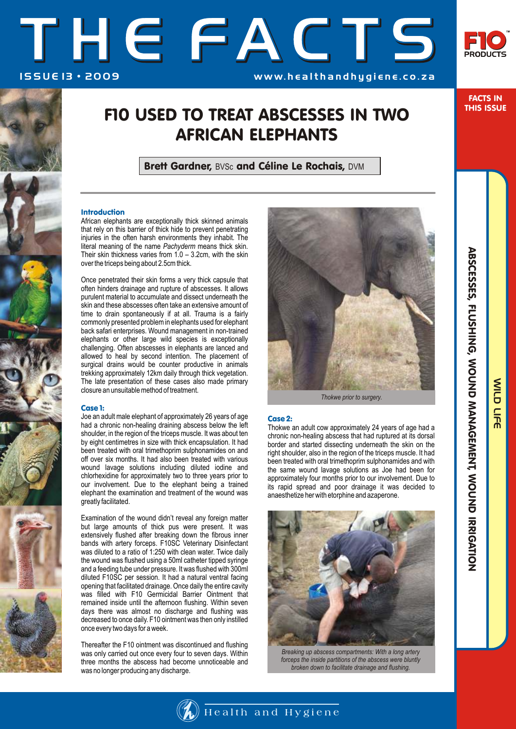# THE FACTS ISSUE 13 · 2009 WWW.healthandhygiene.co.za



FACTS IN THIS ISSUE

## F10 USED TO TREAT ABSCESSES IN TWO AFRICAN ELEPHANTS

Brett Gardner, BVSc and Céline Le Rochais, DVM

### Introduction

African elephants are exceptionally thick skinned animals that rely on this barrier of thick hide to prevent penetrating injuries in the often harsh environments they inhabit. The literal meaning of the name *Pachyderm* means thick skin. Their skin thickness varies from  $1.0 - 3.2$ cm, with the skin over the triceps being about 2.5cm thick.

Once penetrated their skin forms a very thick capsule that often hinders drainage and rupture of abscesses. It allows purulent material to accumulate and dissect underneath the skin and these abscesses often take an extensive amount of time to drain spontaneously if at all. Trauma is a fairly commonly presented problem in elephants used for elephant back safari enterprises. Wound management in non-trained elephants or other large wild species is exceptionally challenging. Often abscesses in elephants are lanced and allowed to heal by second intention. The placement of surgical drains would be counter productive in animals trekking approximately 12km daily through thick vegetation. The late presentation of these cases also made primary closure an unsuitable method of treatment.

#### Case 1:

Joe an adult male elephant of approximately 26 years of age had a chronic non-healing draining abscess below the left shoulder, in the region of the triceps muscle. It was about ten by eight centimetres in size with thick encapsulation. It had been treated with oral trimethoprim sulphonamides on and off over six months. It had also been treated with various wound lavage solutions including diluted iodine and chlorhexidine for approximately two to three years prior to our involvement. Due to the elephant being a trained elephant the examination and treatment of the wound was greatly facilitated.

Examination of the wound didn't reveal any foreign matter but large amounts of thick pus were present. It was extensively flushed after breaking down the fibrous inner bands with artery forceps. F10SC Veterinary Disinfectant was diluted to a ratio of 1:250 with clean water. Twice daily the wound was flushed using a 50ml catheter tipped syringe and a feeding tube under pressure. It was flushed with 300ml diluted F10SC per session. It had a natural ventral facing opening that facilitated drainage. Once daily the entire cavity was filled with F10 Germicidal Barrier Ointment that remained inside until the afternoon flushing. Within seven days there was almost no discharge and flushing was decreased to once daily. F10 ointment was then only instilled once every two days for a week.

Thereafter the F10 ointment was discontinued and flushing was only carried out once every four to seven days. Within three months the abscess had become unnoticeable and was no longer producing any discharge.



*Thokwe prior to surgery.*

#### Case 2:

Thokwe an adult cow approximately 24 years of age had a chronic non-healing abscess that had ruptured at its dorsal border and started dissecting underneath the skin on the right shoulder, also in the region of the triceps muscle. It had been treated with oral trimethoprim sulphonamides and with the same wound lavage solutions as Joe had been for approximately four months prior to our involvement. Due to its rapid spread and poor drainage it was decided to anaesthetize her with etorphine and azaperone.



*Breaking up abscess compartments: With a long artery forceps the inside partitions of the abscess were bluntly broken down to facilitate drainage and flushing.*

WILD LIFE

WILD LIFE